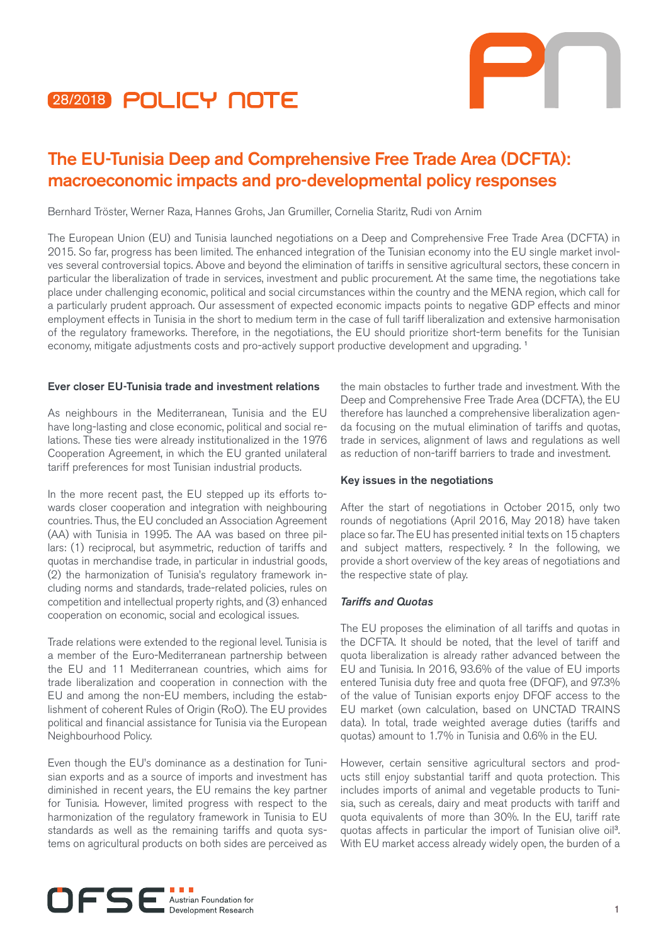



# The EU-Tunisia Deep and Comprehensive Free Trade Area (DCFTA): macroeconomic impacts and pro-developmental policy responses

Bernhard Tröster, Werner Raza, Hannes Grohs, Jan Grumiller, Cornelia Staritz, Rudi von Arnim

The European Union (EU) and Tunisia launched negotiations on a Deep and Comprehensive Free Trade Area (DCFTA) in 2015. So far, progress has been limited. The enhanced integration of the Tunisian economy into the EU single market involves several controversial topics. Above and beyond the elimination of tariffs in sensitive agricultural sectors, these concern in particular the liberalization of trade in services, investment and public procurement. At the same time, the negotiations take place under challenging economic, political and social circumstances within the country and the MENA region, which call for a particularly prudent approach. Our assessment of expected economic impacts points to negative GDP effects and minor employment effects in Tunisia in the short to medium term in the case of full tariff liberalization and extensive harmonisation of the regulatory frameworks. Therefore, in the negotiations, the EU should prioritize short-term benefits for the Tunisian economy, mitigate adjustments costs and pro-actively support productive development and upgrading.<sup>1</sup>

## Ever closer EU-Tunisia trade and investment relations

As neighbours in the Mediterranean, Tunisia and the EU have long-lasting and close economic, political and social relations. These ties were already institutionalized in the 1976 Cooperation Agreement, in which the EU granted unilateral tariff preferences for most Tunisian industrial products.

In the more recent past, the EU stepped up its efforts towards closer cooperation and integration with neighbouring countries. Thus, the EU concluded an Association Agreement (AA) with Tunisia in 1995. The AA was based on three pillars: (1) reciprocal, but asymmetric, reduction of tariffs and quotas in merchandise trade, in particular in industrial goods, (2) the harmonization of Tunisia's regulatory framework including norms and standards, trade-related policies, rules on competition and intellectual property rights, and (3) enhanced cooperation on economic, social and ecological issues.

Trade relations were extended to the regional level. Tunisia is a member of the Euro-Mediterranean partnership between the EU and 11 Mediterranean countries, which aims for trade liberalization and cooperation in connection with the EU and among the non-EU members, including the establishment of coherent Rules of Origin (RoO). The EU provides political and financial assistance for Tunisia via the European Neighbourhood Policy.

Even though the EU's dominance as a destination for Tunisian exports and as a source of imports and investment has diminished in recent years, the EU remains the key partner for Tunisia. However, limited progress with respect to the harmonization of the regulatory framework in Tunisia to EU standards as well as the remaining tariffs and quota systems on agricultural products on both sides are perceived as

the main obstacles to further trade and investment. With the Deep and Comprehensive Free Trade Area (DCFTA), the EU therefore has launched a comprehensive liberalization agenda focusing on the mutual elimination of tariffs and quotas, trade in services, alignment of laws and regulations as well as reduction of non-tariff barriers to trade and investment.

## Key issues in the negotiations

After the start of negotiations in October 2015, only two rounds of negotiations (April 2016, May 2018) have taken place so far. The EU has presented initial texts on 15 chapters and subject matters, respectively.<sup>2</sup> In the following, we provide a short overview of the key areas of negotiations and the respective state of play.

## *Tariffs and Quotas*

The EU proposes the elimination of all tariffs and quotas in the DCFTA. It should be noted, that the level of tariff and quota liberalization is already rather advanced between the EU and Tunisia. In 2016, 93.6% of the value of EU imports entered Tunisia duty free and quota free (DFQF), and 97.3% of the value of Tunisian exports enjoy DFQF access to the EU market (own calculation, based on UNCTAD TRAINS data). In total, trade weighted average duties (tariffs and quotas) amount to 1.7% in Tunisia and 0.6% in the EU.

However, certain sensitive agricultural sectors and products still enjoy substantial tariff and quota protection. This includes imports of animal and vegetable products to Tunisia, such as cereals, dairy and meat products with tariff and quota equivalents of more than 30%. In the EU, tariff rate quotas affects in particular the import of Tunisian olive oil<sup>3</sup>. With EU market access already widely open, the burden of a

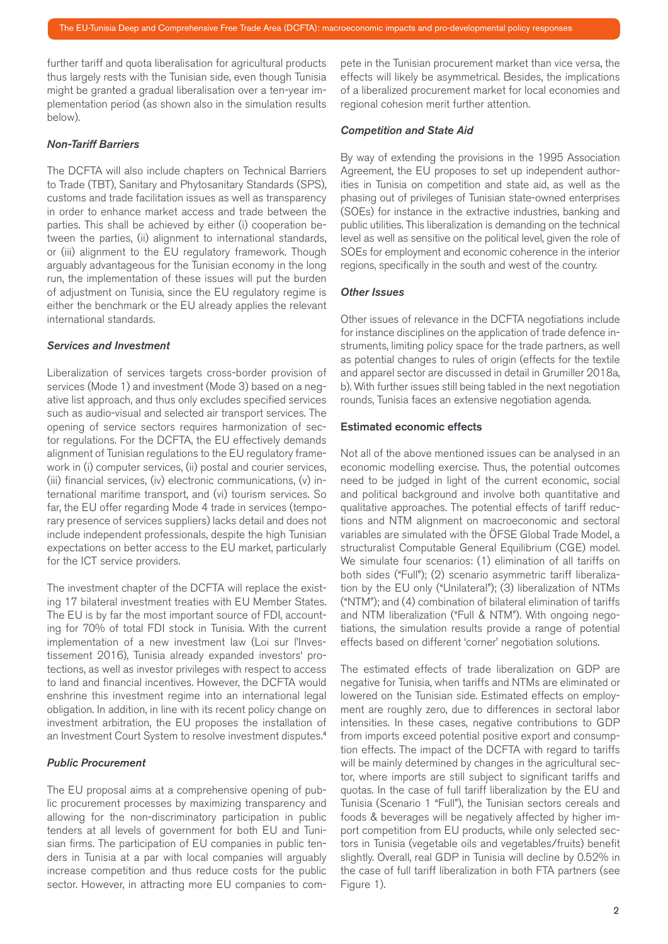further tariff and quota liberalisation for agricultural products thus largely rests with the Tunisian side, even though Tunisia might be granted a gradual liberalisation over a ten-year implementation period (as shown also in the simulation results below).

## *Non-Tariff Barriers*

The DCFTA will also include chapters on Technical Barriers to Trade (TBT), Sanitary and Phytosanitary Standards (SPS), customs and trade facilitation issues as well as transparency in order to enhance market access and trade between the parties. This shall be achieved by either (i) cooperation between the parties, (ii) alignment to international standards, or (iii) alignment to the EU regulatory framework. Though arguably advantageous for the Tunisian economy in the long run, the implementation of these issues will put the burden of adjustment on Tunisia, since the EU regulatory regime is either the benchmark or the EU already applies the relevant international standards.

### *Services and Investment*

Liberalization of services targets cross-border provision of services (Mode 1) and investment (Mode 3) based on a negative list approach, and thus only excludes specified services such as audio-visual and selected air transport services. The opening of service sectors requires harmonization of sector regulations. For the DCFTA, the EU effectively demands alignment of Tunisian regulations to the EU regulatory framework in (i) computer services, (ii) postal and courier services, (iii) financial services, (iv) electronic communications, (v) international maritime transport, and (vi) tourism services. So far, the EU offer regarding Mode 4 trade in services (temporary presence of services suppliers) lacks detail and does not include independent professionals, despite the high Tunisian expectations on better access to the EU market, particularly for the ICT service providers.

The investment chapter of the DCFTA will replace the existing 17 bilateral investment treaties with EU Member States. The EU is by far the most important source of FDI, accounting for 70% of total FDI stock in Tunisia. With the current implementation of a new investment law (Loi sur l'Investissement 2016), Tunisia already expanded investors' protections, as well as investor privileges with respect to access to land and financial incentives. However, the DCFTA would enshrine this investment regime into an international legal obligation. In addition, in line with its recent policy change on investment arbitration, the EU proposes the installation of an Investment Court System to resolve investment disputes.<sup>4</sup>

## *Public Procurement*

The EU proposal aims at a comprehensive opening of public procurement processes by maximizing transparency and allowing for the non-discriminatory participation in public tenders at all levels of government for both EU and Tunisian firms. The participation of EU companies in public tenders in Tunisia at a par with local companies will arguably increase competition and thus reduce costs for the public sector. However, in attracting more EU companies to compete in the Tunisian procurement market than vice versa, the effects will likely be asymmetrical. Besides, the implications of a liberalized procurement market for local economies and regional cohesion merit further attention.

#### *Competition and State Aid*

By way of extending the provisions in the 1995 Association Agreement, the EU proposes to set up independent authorities in Tunisia on competition and state aid, as well as the phasing out of privileges of Tunisian state-owned enterprises (SOEs) for instance in the extractive industries, banking and public utilities. This liberalization is demanding on the technical level as well as sensitive on the political level, given the role of SOEs for employment and economic coherence in the interior regions, specifically in the south and west of the country.

## *Other Issues*

Other issues of relevance in the DCFTA negotiations include for instance disciplines on the application of trade defence instruments, limiting policy space for the trade partners, as well as potential changes to rules of origin (effects for the textile and apparel sector are discussed in detail in Grumiller 2018a, b). With further issues still being tabled in the next negotiation rounds, Tunisia faces an extensive negotiation agenda.

## Estimated economic effects

Not all of the above mentioned issues can be analysed in an economic modelling exercise. Thus, the potential outcomes need to be judged in light of the current economic, social and political background and involve both quantitative and qualitative approaches. The potential effects of tariff reductions and NTM alignment on macroeconomic and sectoral variables are simulated with the ÖFSE Global Trade Model, a structuralist Computable General Equilibrium (CGE) model. We simulate four scenarios: (1) elimination of all tariffs on both sides ("Full"); (2) scenario asymmetric tariff liberalization by the EU only ("Unilateral"); (3) liberalization of NTMs ("NTM"); and (4) combination of bilateral elimination of tariffs and NTM liberalization ("Full & NTM"). With ongoing negotiations, the simulation results provide a range of potential effects based on different 'corner' negotiation solutions.

The estimated effects of trade liberalization on GDP are negative for Tunisia, when tariffs and NTMs are eliminated or lowered on the Tunisian side. Estimated effects on employment are roughly zero, due to differences in sectoral labor intensities. In these cases, negative contributions to GDP from imports exceed potential positive export and consumption effects. The impact of the DCFTA with regard to tariffs will be mainly determined by changes in the agricultural sector, where imports are still subject to significant tariffs and quotas. In the case of full tariff liberalization by the EU and Tunisia (Scenario 1 "Full"), the Tunisian sectors cereals and foods & beverages will be negatively affected by higher import competition from EU products, while only selected sectors in Tunisia (vegetable oils and vegetables/fruits) benefit slightly. Overall, real GDP in Tunisia will decline by 0.52% in the case of full tariff liberalization in both FTA partners (see Figure 1).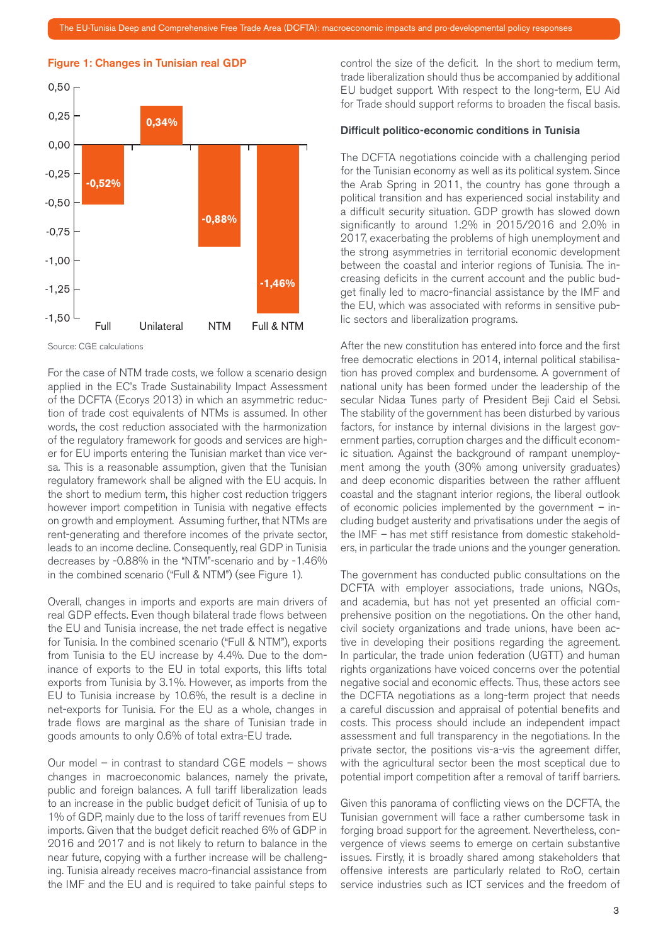



Source: CGE calculations

For the case of NTM trade costs, we follow a scenario design applied in the EC's Trade Sustainability Impact Assessment of the DCFTA (Ecorys 2013) in which an asymmetric reduction of trade cost equivalents of NTMs is assumed. In other words, the cost reduction associated with the harmonization of the regulatory framework for goods and services are higher for EU imports entering the Tunisian market than vice versa. This is a reasonable assumption, given that the Tunisian regulatory framework shall be aligned with the EU acquis. In the short to medium term, this higher cost reduction triggers however import competition in Tunisia with negative effects on growth and employment. Assuming further, that NTMs are rent-generating and therefore incomes of the private sector, leads to an income decline. Consequently, real GDP in Tunisia decreases by -0.88% in the "NTM"-scenario and by -1.46% in the combined scenario ("Full & NTM") (see Figure 1).

Overall, changes in imports and exports are main drivers of real GDP effects. Even though bilateral trade flows between the EU and Tunisia increase, the net trade effect is negative for Tunisia. In the combined scenario ("Full & NTM"), exports from Tunisia to the EU increase by 4.4%. Due to the dominance of exports to the EU in total exports, this lifts total exports from Tunisia by 3.1%. However, as imports from the EU to Tunisia increase by 10.6%, the result is a decline in net-exports for Tunisia. For the EU as a whole, changes in trade flows are marginal as the share of Tunisian trade in goods amounts to only 0.6% of total extra-EU trade.

Our model – in contrast to standard CGE models – shows changes in macroeconomic balances, namely the private, public and foreign balances. A full tariff liberalization leads to an increase in the public budget deficit of Tunisia of up to 1% of GDP, mainly due to the loss of tariff revenues from EU imports. Given that the budget deficit reached 6% of GDP in 2016 and 2017 and is not likely to return to balance in the near future, copying with a further increase will be challenging. Tunisia already receives macro-financial assistance from the IMF and the EU and is required to take painful steps to

control the size of the deficit. In the short to medium term, trade liberalization should thus be accompanied by additional EU budget support. With respect to the long-term, EU Aid for Trade should support reforms to broaden the fiscal basis.

## Difficult politico-economic conditions in Tunisia

The DCFTA negotiations coincide with a challenging period for the Tunisian economy as well as its political system. Since the Arab Spring in 2011, the country has gone through a political transition and has experienced social instability and a difficult security situation. GDP growth has slowed down significantly to around 1.2% in 2015/2016 and 2.0% in 2017, exacerbating the problems of high unemployment and the strong asymmetries in territorial economic development between the coastal and interior regions of Tunisia. The increasing deficits in the current account and the public budget finally led to macro-financial assistance by the IMF and the EU, which was associated with reforms in sensitive public sectors and liberalization programs.

After the new constitution has entered into force and the first free democratic elections in 2014, internal political stabilisation has proved complex and burdensome. A government of national unity has been formed under the leadership of the secular Nidaa Tunes party of President Beji Caid el Sebsi. The stability of the government has been disturbed by various factors, for instance by internal divisions in the largest government parties, corruption charges and the difficult economic situation. Against the background of rampant unemployment among the youth (30% among university graduates) and deep economic disparities between the rather affluent coastal and the stagnant interior regions, the liberal outlook of economic policies implemented by the government *–* including budget austerity and privatisations under the aegis of the IMF *–* has met stiff resistance from domestic stakeholders, in particular the trade unions and the younger generation.

The government has conducted public consultations on the DCFTA with employer associations, trade unions, NGOs, and academia, but has not yet presented an official comprehensive position on the negotiations. On the other hand, civil society organizations and trade unions, have been active in developing their positions regarding the agreement. In particular, the trade union federation (UGTT) and human rights organizations have voiced concerns over the potential negative social and economic effects. Thus, these actors see the DCFTA negotiations as a long-term project that needs a careful discussion and appraisal of potential benefits and costs. This process should include an independent impact assessment and full transparency in the negotiations. In the private sector, the positions vis-a-vis the agreement differ, with the agricultural sector been the most sceptical due to potential import competition after a removal of tariff barriers.

Given this panorama of conflicting views on the DCFTA, the Tunisian government will face a rather cumbersome task in forging broad support for the agreement. Nevertheless, convergence of views seems to emerge on certain substantive issues. Firstly, it is broadly shared among stakeholders that offensive interests are particularly related to RoO, certain service industries such as ICT services and the freedom of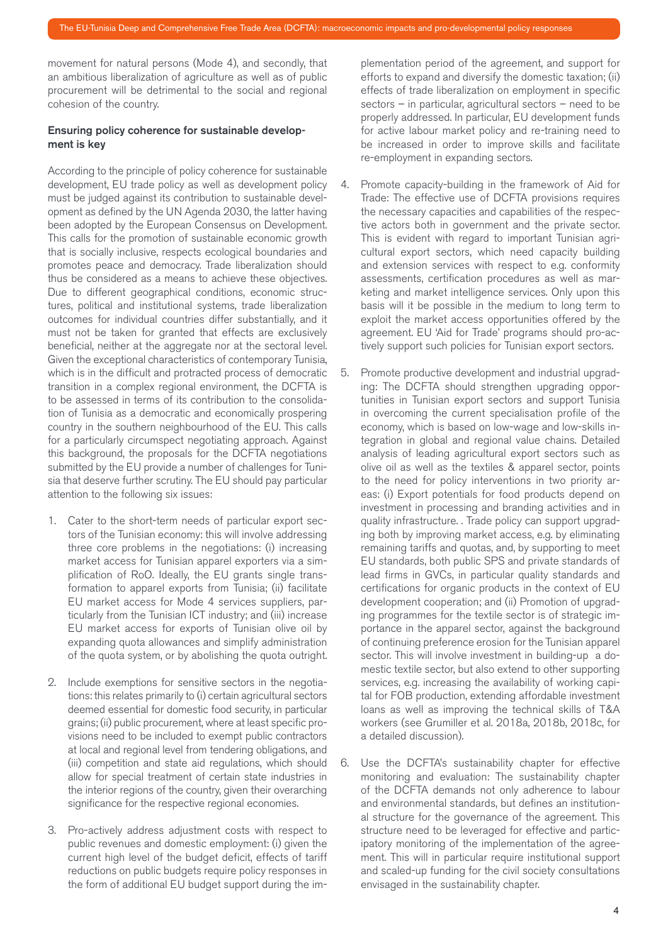movement for natural persons (Mode 4), and secondly, that an ambitious liberalization of agriculture as well as of public procurement will be detrimental to the social and regional cohesion of the country.

# Ensuring policy coherence for sustainable development is key

According to the principle of policy coherence for sustainable development, EU trade policy as well as development policy must be judged against its contribution to sustainable development as defined by the UN Agenda 2030, the latter having been adopted by the European Consensus on Development. This calls for the promotion of sustainable economic growth that is socially inclusive, respects ecological boundaries and promotes peace and democracy. Trade liberalization should thus be considered as a means to achieve these objectives. Due to different geographical conditions, economic structures, political and institutional systems, trade liberalization outcomes for individual countries differ substantially, and it must not be taken for granted that effects are exclusively beneficial, neither at the aggregate nor at the sectoral level. Given the exceptional characteristics of contemporary Tunisia, which is in the difficult and protracted process of democratic transition in a complex regional environment, the DCFTA is to be assessed in terms of its contribution to the consolidation of Tunisia as a democratic and economically prospering country in the southern neighbourhood of the EU. This calls for a particularly circumspect negotiating approach. Against this background, the proposals for the DCFTA negotiations submitted by the EU provide a number of challenges for Tunisia that deserve further scrutiny. The EU should pay particular attention to the following six issues:

- 1. Cater to the short-term needs of particular export sectors of the Tunisian economy: this will involve addressing three core problems in the negotiations: (i) increasing market access for Tunisian apparel exporters via a simplification of RoO. Ideally, the EU grants single transformation to apparel exports from Tunisia; (ii) facilitate EU market access for Mode 4 services suppliers, particularly from the Tunisian ICT industry; and (iii) increase EU market access for exports of Tunisian olive oil by expanding quota allowances and simplify administration of the quota system, or by abolishing the quota outright.
- 2. Include exemptions for sensitive sectors in the negotiations: this relates primarily to (i) certain agricultural sectors deemed essential for domestic food security, in particular grains; (ii) public procurement, where at least specific provisions need to be included to exempt public contractors at local and regional level from tendering obligations, and (iii) competition and state aid regulations, which should allow for special treatment of certain state industries in the interior regions of the country, given their overarching significance for the respective regional economies.
- 3. Pro-actively address adjustment costs with respect to public revenues and domestic employment: (i) given the current high level of the budget deficit, effects of tariff reductions on public budgets require policy responses in the form of additional EU budget support during the im-

plementation period of the agreement, and support for efforts to expand and diversify the domestic taxation; (ii) effects of trade liberalization on employment in specific sectors – in particular, agricultural sectors – need to be properly addressed. In particular, EU development funds for active labour market policy and re-training need to be increased in order to improve skills and facilitate re-employment in expanding sectors.

- 4. Promote capacity-building in the framework of Aid for Trade: The effective use of DCFTA provisions requires the necessary capacities and capabilities of the respective actors both in government and the private sector. This is evident with regard to important Tunisian agricultural export sectors, which need capacity building and extension services with respect to e.g. conformity assessments, certification procedures as well as marketing and market intelligence services. Only upon this basis will it be possible in the medium to long term to exploit the market access opportunities offered by the agreement. EU 'Aid for Trade' programs should pro-actively support such policies for Tunisian export sectors.
- 5. Promote productive development and industrial upgrading: The DCFTA should strengthen upgrading opportunities in Tunisian export sectors and support Tunisia in overcoming the current specialisation profile of the economy, which is based on low-wage and low-skills integration in global and regional value chains. Detailed analysis of leading agricultural export sectors such as olive oil as well as the textiles & apparel sector, points to the need for policy interventions in two priority areas: (i) Export potentials for food products depend on investment in processing and branding activities and in quality infrastructure. . Trade policy can support upgrading both by improving market access, e.g. by eliminating remaining tariffs and quotas, and, by supporting to meet EU standards, both public SPS and private standards of lead firms in GVCs, in particular quality standards and certifications for organic products in the context of EU development cooperation; and (ii) Promotion of upgrading programmes for the textile sector is of strategic importance in the apparel sector, against the background of continuing preference erosion for the Tunisian apparel sector. This will involve investment in building-up a domestic textile sector, but also extend to other supporting services, e.g. increasing the availability of working capital for FOB production, extending affordable investment loans as well as improving the technical skills of T&A workers (see Grumiller et al. 2018a, 2018b, 2018c, for a detailed discussion).
- 6. Use the DCFTA's sustainability chapter for effective monitoring and evaluation: The sustainability chapter of the DCFTA demands not only adherence to labour and environmental standards, but defines an institutional structure for the governance of the agreement. This structure need to be leveraged for effective and participatory monitoring of the implementation of the agreement. This will in particular require institutional support and scaled-up funding for the civil society consultations envisaged in the sustainability chapter.